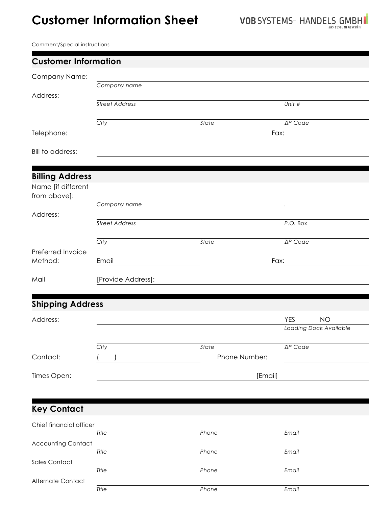## **Customer Information Sheet**

Comment/Special instructions

Alternate Contact

| <b>Customer Information</b>        |                       |               |                         |  |  |  |  |
|------------------------------------|-----------------------|---------------|-------------------------|--|--|--|--|
| Company Name:                      |                       |               |                         |  |  |  |  |
|                                    | Company name          |               |                         |  |  |  |  |
| Address:                           | <b>Street Address</b> |               | Unit #                  |  |  |  |  |
|                                    | City                  | State         | <b>ZIP Code</b>         |  |  |  |  |
| Telephone:                         |                       |               | Fax:                    |  |  |  |  |
| Bill to address:                   |                       |               |                         |  |  |  |  |
| <b>Billing Address</b>             |                       |               |                         |  |  |  |  |
| Name [if different<br>from above]: |                       |               |                         |  |  |  |  |
|                                    | Company name          |               | $\cdot$                 |  |  |  |  |
| Address:                           | <b>Street Address</b> |               | P.O. Box                |  |  |  |  |
|                                    | City                  | State         | <b>ZIP Code</b>         |  |  |  |  |
| Preferred Invoice                  |                       |               |                         |  |  |  |  |
| Method:                            | Email                 | Fax:          |                         |  |  |  |  |
| Mail                               | [Provide Address]:    |               |                         |  |  |  |  |
|                                    |                       |               |                         |  |  |  |  |
| <b>Shipping Address</b>            |                       |               |                         |  |  |  |  |
| Address:                           |                       |               | <b>YES</b><br><b>NO</b> |  |  |  |  |
|                                    |                       |               | Loading Dock Available  |  |  |  |  |
|                                    | City                  | State         | <b>ZIP Code</b>         |  |  |  |  |
| Contact:                           |                       | Phone Number: |                         |  |  |  |  |
| Times Open:                        |                       |               | [Email]                 |  |  |  |  |
|                                    |                       |               |                         |  |  |  |  |
| <b>Key Contact</b>                 |                       |               |                         |  |  |  |  |
| Chief financial officer            |                       |               |                         |  |  |  |  |
|                                    | Title                 | Phone         | Email                   |  |  |  |  |
| <b>Accounting Contact</b>          | Title                 | Phone         | Email                   |  |  |  |  |
| Sales Contact                      | Title                 | Phone         | Email                   |  |  |  |  |

*Title Phone Email*